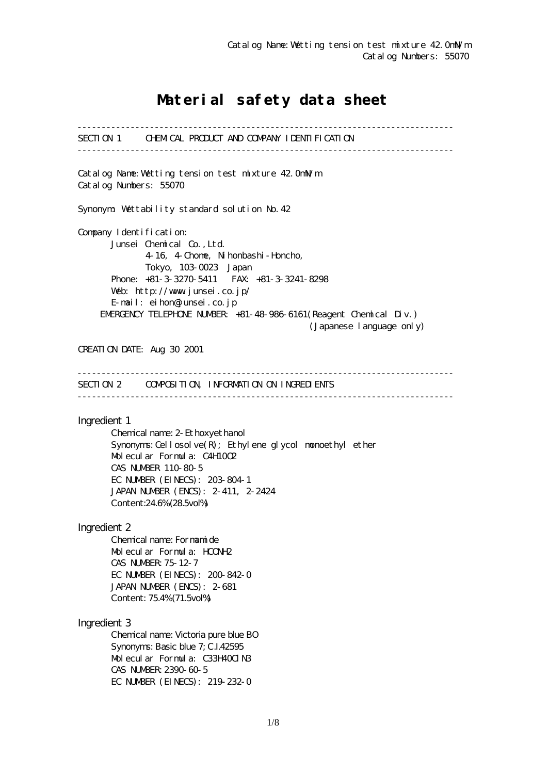# Material safety data sheet

------------------------------------------------------------------------------ SECTION 1 CHEMICAL PRODUCT AND COMPANY IDENTIFICATION ------------------------------------------------------------------------------ Catalog Name:Wetting tension test mixture 42.0mN/m Catalog Numbers: 55070 Synonym: Wettability standard solution No.42 Company I dentification: Junsei Chemical Co.,Ltd. 4-16, 4-Chome, Nihonbashi-Honcho, Tokyo, 103-0023 Japan Phone: +81-3-3270-5411 FAX: +81-3-3241-8298 Web: http://www.junsei.co.jp/ E-mail: eihon@junsei.co.jp EMERGENCY TELEPHONE NUMBER: +81-48-986-6161(Reagent Chemical Div.) (Japanese language only) CREATION DATE: Aug 30 2001 ------------------------------------------------------------------------------ SECTION 2 COMPOSITION, INFORMATION ON INGREDIENTS ------------------------------------------------------------------------------ Ingredient 1 Chemical name: 2-Ethoxyethanol Synonyms: Cellosolve $(R)$ ; Ethylene glycol monoethyl ether Molecular Formula: C4H10O2 CAS NUMBER 110-80-5 EC NUMBER (EINECS): 203-804-1 JAPAN NUMBER (ENCS): 2-411, 2-2424 Content:24.6% (28.5vol%) Ingredient 2 Chemical name: Formamide Molecular Formula: HCONH2 CAS NUMBER:75-12-7 EC NUMBER (EINECS): 200-842-0 JAPAN NUMBER (ENCS): 2-681 Content: 75.4% (71.5vol%) Ingredient 3 Chemical name: Victoria pure blue BO Synonyms: Basic blue 7; C.I.42595 Molecular Formula: C33H40ClN3 CAS NUMBER:2390-60-5 EC NUMBER (EINECS): 219-232-0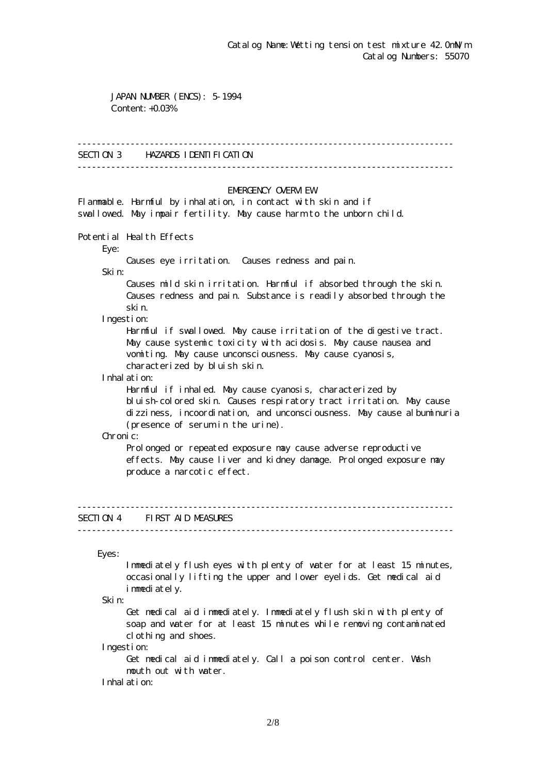JAPAN NUMBER (ENCS): 5-1994 Content: +0.03%

#### ------------------------------------------------------------------------------

### SECTION 3 HAZARDS IDENTIFICATION

------------------------------------------------------------------------------

#### EMERGENCY CAERM EW

Flammable. Harmful by inhalation, in contact with skin and if swallowed. May impair fertility. May cause harm to the unborn child.

Potential Health Effects

Eye:

Causes eye irritation. Causes redness and pain.

Skin:

 Causes mild skin irritation. Harmful if absorbed through the skin. Causes redness and pain. Substance is readily absorbed through the skin.

Ingestion:

 Harmful if swallowed. May cause irritation of the digestive tract. May cause systemic toxicity with acidosis. May cause nausea and vomiting. May cause unconsciousness. May cause cyanosis, characterized by bluish skin.

Inhalation:

 Harmful if inhaled. May cause cyanosis, characterized by bluish-colored skin. Causes respiratory tract irritation. May cause dizziness, incoordination, and unconsciousness. May cause albuminuria (presence of serum in the urine).

Chronic:

Prolonged or repeated exposure may cause adverse reproductive effects. May cause liver and kidney damage. Prolonged exposure may produce a narcotic effect.

# SECTION 4 FIRST AID MEASURES

------------------------------------------------------------------------------

------------------------------------------------------------------------------

Eyes:

 Immediately flush eyes with plenty of water for at least 15 minutes, occasionally lifting the upper and lower eyelids. Get medical aid immediately.

Skin:

 Get medical aid immediately. Immediately flush skin with plenty of soap and water for at least 15 minutes while removing contaminated clothing and shoes.

Ingestion:

 Get medical aid immediately. Call a poison control center. Wash mouth out with water.

Inhalation: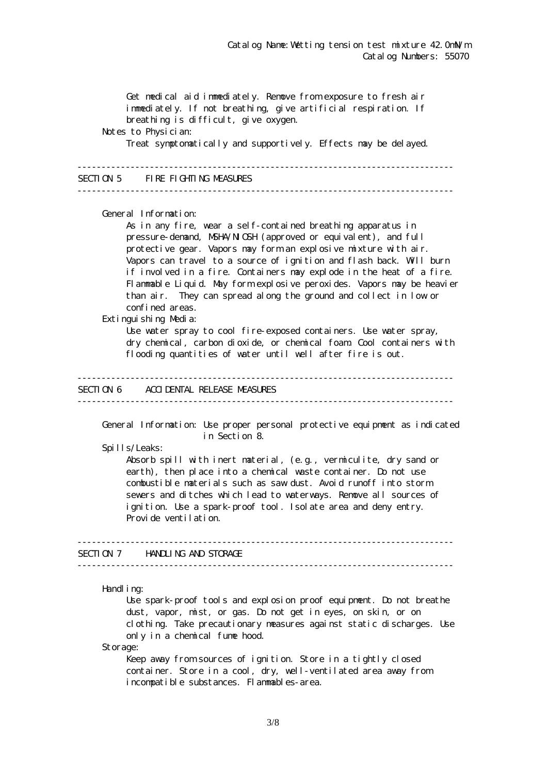Get medical aid immediately. Remove from exposure to fresh air immediately. If not breathing, give artificial respiration. If breathing is difficult, give oxygen. Notes to Physician: Treat symptomatically and supportively. Effects may be delayed. ------------------------------------------------------------------------------ SECTION 5 FIRE FIGHTING MEASURES ------------------------------------------------------------------------------ General Information: As in any fire, wear a self-contained breathing apparatus in pressure-demand, NSHA/NICSH (approved or equivalent), and full protective gear. Vapors may form an explosive mixture with air. Vapors can travel to a source of ignition and flash back. Will burn if involved in a fire. Containers may explode in the heat of a fire. Flammable Liquid. May form explosive peroxides. Vapors may be heavier than air. They can spread along the ground and collect in low or confined areas. Extinguishing Media: Use water spray to cool fire-exposed containers. Use water spray, dry chemical, carbon dioxide, or chemical foam. Cool containers with flooding quantities of water until well after fire is out. ------------------------------------------------------------------------------ SECTION 6 ACCIDENTAL RELEASE MEASURES ------------------------------------------------------------------------------ General Information: Use proper personal protective equipment as indicated in Section 8. Spills/Leaks: Absorb spill with inert material, (e.g., vermiculite, dry sand or earth), then place into a chemical waste container. Do not use combustible materials such as saw dust. Avoid runoff into storm sewers and ditches which lead to waterways. Remove all sources of ignition. Use a spark-proof tool. Isolate area and deny entry. Provide ventilation. ------------------------------------------------------------------------------ SECTION 7 HANDLING AND STORAGE ------------------------------------------------------------------------------ Handling: Use spark-proof tools and explosion proof equipment. Do not breathe dust, vapor, mist, or gas. Do not get in eyes, on skin, or on clothing. Take precautionary measures against static discharges. Use only in a chemical fume hood.

Storage:

Keep away from sources of ignition. Store in a tightly closed container. Store in a cool, dry, well-ventilated area away from incompatible substances. Flammables-area.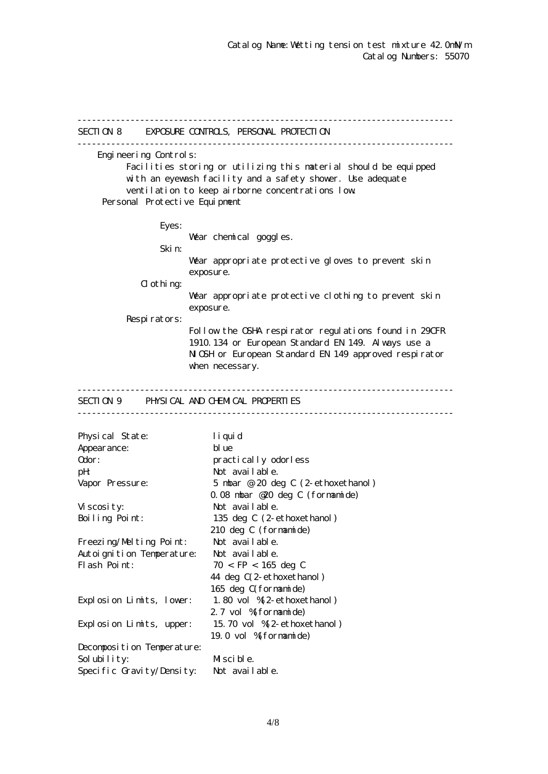------------------------------------------------------------------------------ SECTION 8 EXPOSURE CONTROLS, PERSONAL PROTECTION ------------------------------------------------------------------------------ Engineering Controls: Facilities storing or utilizing this material should be equipped with an eyewash facility and a safety shower. Use adequate ventilation to keep airborne concentrations low. Personal Protective Equipment Eyes: War chemical goggles. Skin: Wear appropriate protective gloves to prevent skin exposure.  $d$  othing: Wear appropriate protective clothing to prevent skin exposure. Respirators: Follow the OSHA respirator regulations found in 29CFR 1910.134 or European Standard EN 149. Always use a NGH or European Standard EN 149 approved respirator when necessary. ------------------------------------------------------------------------------ SECTION 9 PHYSICAL AND CHEMICAL PROPERTIES ------------------------------------------------------------------------------ Physical State: liquid Appearance: blue Odor: practically odorless pH: Not available. Vapor Pressure: 5 mbar @ 20 deg C (2-ethoxethanol) 0.08 mbar @20 deg C (formamide) Viscosity: Not available. Boiling Point: 135 deg C (2-ethoxethanol) 210 deg C (formamide) Freezing/Melting Point: Not available. Autoignition Temperature: Not available. Flash Point:  $70 <$  FP  $< 165$  deg C 44 deg C(2-ethoxethanol) 165 deg C(formamide) Explosion Limits, lower: 1.80 vol %(2-ethoxethanol) 2.7 vol % formamide) Explosion Limits, upper: 15.70 vol %(2-ethoxethanol) 19.0 vol %(formamide) Decomposition Temperature: Solubility: Miscible. Specific Gravity/Density: Not available.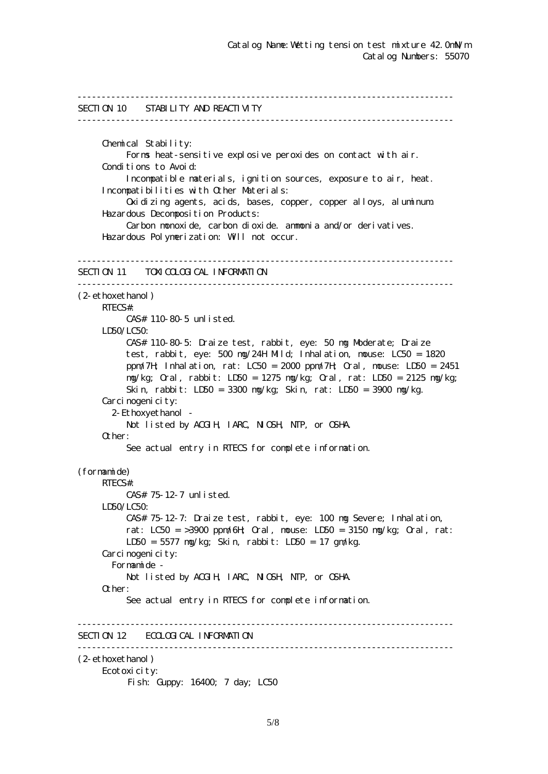```
------------------------------------------------------------------------------
SECTION 10 STABILITY AND REACTIVITY
------------------------------------------------------------------------------
      Chemical Stability:
           Forms heat-sensitive explosive peroxides on contact with air.
     Conditions to Avoid:
           Incompatible materials, ignition sources, exposure to air, heat.
      Incompatibilities with Other Materials:
           Oxidizing agents, acids, bases, copper, copper alloys, aluminum.
      Hazardous Decomposition Products:
           Carbon monoxide, carbon dioxide. ammonia and/or derivatives.
      Hazardous Polymerization: Will not occur.
------------------------------------------------------------------------------
SECTION 11 TOXICOLOGICAL INFORMATION
------------------------------------------------------------------------------
(2-ethoxethanol)
      RTECS#:
           CAS# 110-80-5 unlisted.
     LDSO/LCSO CAS# 110-80-5: Draize test, rabbit, eye: 50 mg Moderate; Draize
           test, rabbit, eye: 500 mg/24H Mild; Inhalation, mouse: LC50 = 1820
           ppm/7H; Inhalation, rat: LC50 = 2000 ppm/7H; Oral, mouse: LD50 = 2451
           mg/kg; Oral, rabbit: LD50 = 1275 mg/kg; Oral, rat: LD50 = 2125 mg/kg;
           Skin, rabbit: LD50 = 3300 mg/kg; Skin, rat: LD50 = 3900 mg/kg.
     Carcinogenicity:
        2-Ethoxyethanol -
          Not listed by ACGIH, IARC, NIGH, NTP, or CSHA.
      Other:
           See actual entry in RTECS for complete information.
(formamide)
      RTECS#:
           CAS# 75-12-7 unlisted.
      LD50/LC50:
           CAS# 75-12-7: Draize test, rabbit, eye: 100 mg Severe; Inhalation,
          rat: LC50 = 3900 ppm/6H \alphaal, nouse: LD50 = 3150 ng/kg; \alphaal, rat:
           LD50 = 5577 mg/kg; Skin, rabbit: LD50 = 17 gm/kg.
     Carcinogenicity:
        Formamide -
          Not listed by ACGIH, IARC, NICSH, NIP, or CSHA.
      Other:
           See actual entry in RTECS for complete information.
  ------------------------------------------------------------------------------
SECTION 12 ECOLOGICAL INFORMATION
------------------------------------------------------------------------------
(2-ethoxethanol)
      Ecotoxicity:
          Fish: Guppy: 16400; 7 day; LC50
```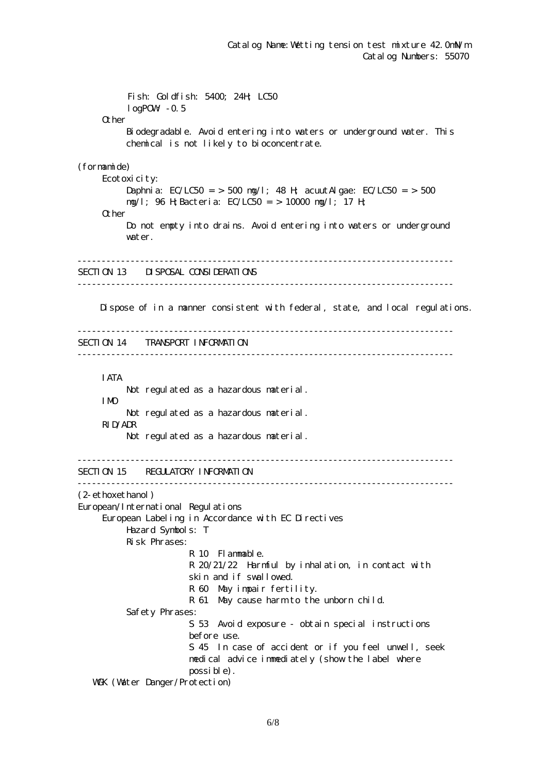Fish: Goldfish: 5400; 24H; LC50  $log$ POW $-0.5$ **Q** her Biodegradable. Avoid entering into waters or underground water. This chemical is not likely to bioconcentrate. (formamide) Ecotoxicity: Daphnia:  $EC/LC50 = 500$  ng/l; 48 H; acuut Algae:  $EC/LC50 = 500$  mg/l; 96 H;Bacteria: EC/LC50 = > 10000 mg/l; 17 H; Other Do not empty into drains. Avoid entering into waters or underground water. ------------------------------------------------------------------------------ SECTION 13 DISPOSAL CONSIDERATIONS ------------------------------------------------------------------------------ Dispose of in a manner consistent with federal, state, and local regulations. ------------------------------------------------------------------------------ SECTION 14 TRANSPORT INFORMATION ------------------------------------------------------------------------------ IATA Not regulated as a hazardous material. IMO Not regulated as a hazardous material. RID/ADR Not regulated as a hazardous material. ------------------------------------------------------------------------------ SECTION 15 REGULATORY INFORMATION ------------------------------------------------------------------------------ (2-ethoxethanol) European/International Regulations European Labeling in Accordance with EC Directives Hazard Symbols: T Risk Phrases: R 10 Flammable. R 20/21/22 Harmful by inhalation, in contact with skin and if swallowed. R 60 May impair fertility. R 61 May cause harm to the unborn child. Safety Phrases: S 53 Avoid exposure - obtain special instructions before use. S 45 In case of accident or if you feel unwell, seek medical advice immediately (show the label where possible). WGK (Water Danger/Protection)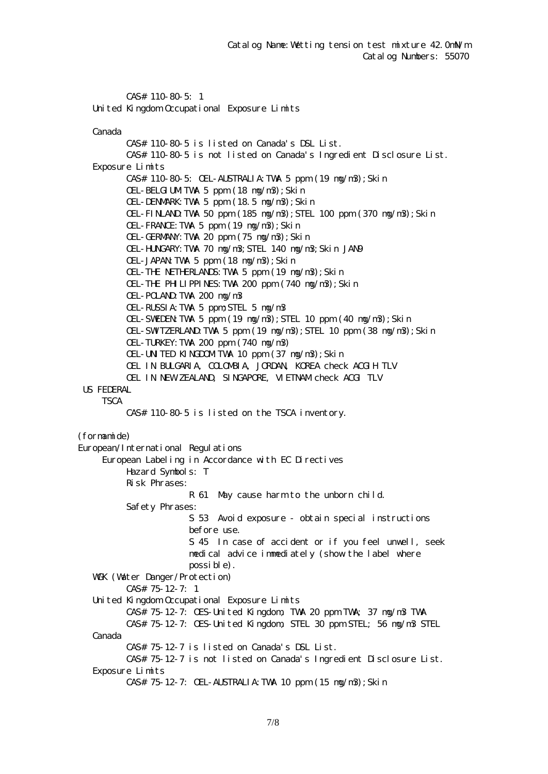CAS# 110-80-5: 1 United Kingdom Occupational Exposure Limits

Canada

 CAS# 110-80-5 is listed on Canada's DSL List. CAS# 110-80-5 is not listed on Canada's Ingredient Disclosure List. Exposure Limits CAS# 110-80-5: OEL-AUSTRALIA:TWA 5 ppm (19 mg/m3);Skin OEL-BELGIUM TWA 5 ppm  $(18 \text{ ng}/\text{m}3)$ ; Skin OEL-DENMARK:TWA 5 ppm (18.5 mg/m3);Skin OEL-FINLAND:TWA 50 ppm (185 mg/m3);STEL 100 ppm (370 mg/m3);Skin OEL-FRANCE:TWA 5 ppm (19 mg/m3);Skin OEL-GERMANY:TWA 20 ppm (75 mg/m3);Skin OEL-HUNGARY:TWA 70 mg/m3;STEL 140 mg/m3;Skin JAN9 OEL-JAPAN TWA 5 ppm  $(18 \text{ ng}/\text{m}3)$ ; Skin OEL-THE NETHERLANDS:TWA 5 ppm (19 mg/m3);Skin OEL-THE PHILIPPINES:TWA 200 ppm (740 mg/m3);Skin OEL-POLAND:TWA 200 mg/m3 OEL-RUSSIA:TWA 5 ppm;STEL 5 mg/m3 OEL-SWEDEN TWA 5 ppm (19  $mg/m3$ ); STEL 10 ppm (40  $mg/m3$ ); Skin OEL-SWIZERLAND TWA 5 ppm  $(19 \text{ ng/m3})$ ; STEL 10 ppm  $(38 \text{ ng/m3})$ ; Skin OEL-TURKEY:TWA 200 ppm (740 mg/m3) OEL-UNITED KINGDOMITWA 10 ppm (37 mg/m3); Skin OEL IN BULGARIA, COLOMBIA, JORDAN, KOREA check ACGIH TLV OEL IN NEW ZEALAND, SINGAPORE, VIETNAM check ACGI TLV US FEDERAL **TSCA**  CAS# 110-80-5 is listed on the TSCA inventory. (formamide) European/International Regulations European Labeling in Accordance with EC Directives Hazard Symbols: T Risk Phrases: R 61 May cause harm to the unborn child. Safety Phrases: S 53 Avoid exposure - obtain special instructions before use. S 45 In case of accident or if you feel unwell, seek medical advice immediately (show the label where possible). WGK (Water Danger/Protection) CAS# 75-12-7: 1 United Kingdom Occupational Exposure Limits CAS# 75-12-7: OES-United Kingdom, TWA 20 ppm TWA; 37 mg/m3 TWA CAS# 75-12-7: OES-United Kingdom, STEL 30 ppm STEL; 56 mg/m3 STEL Canada CAS# 75-12-7 is listed on Canada's DSL List. CAS# 75-12-7 is not listed on Canada's Ingredient Disclosure List. Exposure Limits CAS# 75-12-7: OEL-AUSTRALIA:TWA 10 ppm (15 mg/m3);Skin